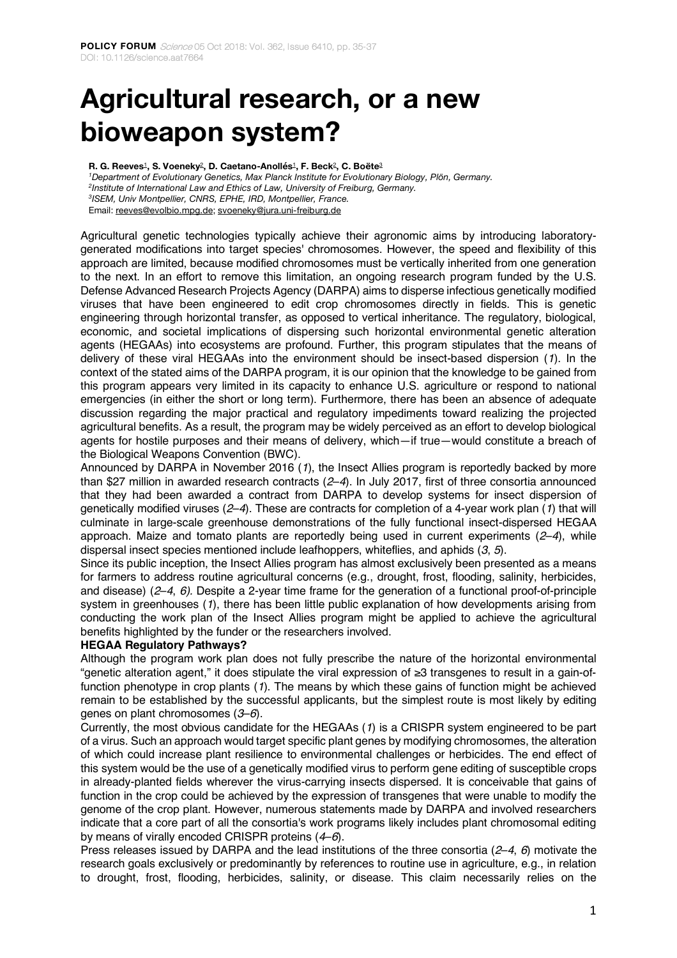# **Agricultural research, or a new bioweapon system?**

#### **R. G. Reeves**<sup>1</sup>**, S. Voeneky**<sup>2</sup>**, D. Caetano-Anollés**<sup>1</sup>**, F. Beck**<sup>2</sup>**, C. Boëte**<sup>3</sup>

 *Department of Evolutionary Genetics, Max Planck Institute for Evolutionary Biology, Plön, Germany. Institute of International Law and Ethics of Law, University of Freiburg, Germany. ISEM, Univ Montpellier, CNRS, EPHE, IRD, Montpellier, France.* Email: reeves@evolbio.mpg.de; svoeneky@jura.uni-freiburg.de

Agricultural genetic technologies typically achieve their agronomic aims by introducing laboratorygenerated modifications into target species' chromosomes. However, the speed and flexibility of this approach are limited, because modified chromosomes must be vertically inherited from one generation to the next. In an effort to remove this limitation, an ongoing research program funded by the U.S. Defense Advanced Research Projects Agency (DARPA) aims to disperse infectious genetically modified viruses that have been engineered to edit crop chromosomes directly in fields. This is genetic engineering through horizontal transfer, as opposed to vertical inheritance. The regulatory, biological, economic, and societal implications of dispersing such horizontal environmental genetic alteration agents (HEGAAs) into ecosystems are profound. Further, this program stipulates that the means of delivery of these viral HEGAAs into the environment should be insect-based dispersion (*1*). In the context of the stated aims of the DARPA program, it is our opinion that the knowledge to be gained from this program appears very limited in its capacity to enhance U.S. agriculture or respond to national emergencies (in either the short or long term). Furthermore, there has been an absence of adequate discussion regarding the major practical and regulatory impediments toward realizing the projected agricultural benefits. As a result, the program may be widely perceived as an effort to develop biological agents for hostile purposes and their means of delivery, which—if true—would constitute a breach of the Biological Weapons Convention (BWC).

Announced by DARPA in November 2016 (*1*), the Insect Allies program is reportedly backed by more than \$27 million in awarded research contracts (*2*–*4*). In July 2017, first of three consortia announced that they had been awarded a contract from DARPA to develop systems for insect dispersion of genetically modified viruses (*2*–*4*). These are contracts for completion of a 4-year work plan (*1*) that will culminate in large-scale greenhouse demonstrations of the fully functional insect-dispersed HEGAA approach. Maize and tomato plants are reportedly being used in current experiments (*2*–*4*), while dispersal insect species mentioned include leafhoppers, whiteflies, and aphids (*3*, *5*).

Since its public inception, the Insect Allies program has almost exclusively been presented as a means for farmers to address routine agricultural concerns (e.g., drought, frost, flooding, salinity, herbicides, and disease) (*2*–*4*, *6).* Despite a 2-year time frame for the generation of a functional proof-of-principle system in greenhouses (*1*), there has been little public explanation of how developments arising from conducting the work plan of the Insect Allies program might be applied to achieve the agricultural benefits highlighted by the funder or the researchers involved.

## **HEGAA Regulatory Pathways?**

Although the program work plan does not fully prescribe the nature of the horizontal environmental "genetic alteration agent," it does stipulate the viral expression of ≥3 transgenes to result in a gain-offunction phenotype in crop plants (*1*). The means by which these gains of function might be achieved remain to be established by the successful applicants, but the simplest route is most likely by editing genes on plant chromosomes (*3*–*6*).

Currently, the most obvious candidate for the HEGAAs (*1*) is a CRISPR system engineered to be part of a virus. Such an approach would target specific plant genes by modifying chromosomes, the alteration of which could increase plant resilience to environmental challenges or herbicides. The end effect of this system would be the use of a genetically modified virus to perform gene editing of susceptible crops in already-planted fields wherever the virus-carrying insects dispersed. It is conceivable that gains of function in the crop could be achieved by the expression of transgenes that were unable to modify the genome of the crop plant. However, numerous statements made by DARPA and involved researchers indicate that a core part of all the consortia's work programs likely includes plant chromosomal editing by means of virally encoded CRISPR proteins (*4*–*6*).

Press releases issued by DARPA and the lead institutions of the three consortia (*2*–*4*, *6*) motivate the research goals exclusively or predominantly by references to routine use in agriculture, e.g., in relation to drought, frost, flooding, herbicides, salinity, or disease. This claim necessarily relies on the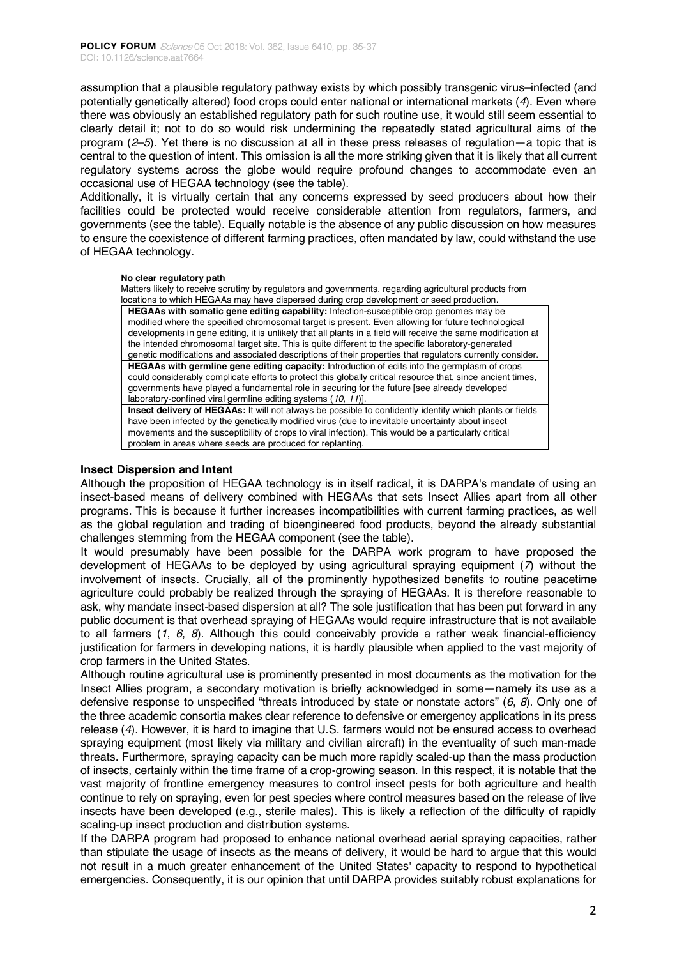assumption that a plausible regulatory pathway exists by which possibly transgenic virus–infected (and potentially genetically altered) food crops could enter national or international markets (*4*). Even where there was obviously an established regulatory path for such routine use, it would still seem essential to clearly detail it; not to do so would risk undermining the repeatedly stated agricultural aims of the program (*2*–*5*). Yet there is no discussion at all in these press releases of regulation—a topic that is central to the question of intent. This omission is all the more striking given that it is likely that all current regulatory systems across the globe would require profound changes to accommodate even an occasional use of HEGAA technology (see the table).

Additionally, it is virtually certain that any concerns expressed by seed producers about how their facilities could be protected would receive considerable attention from regulators, farmers, and governments (see the table). Equally notable is the absence of any public discussion on how measures to ensure the coexistence of different farming practices, often mandated by law, could withstand the use of HEGAA technology.

#### **No clear regulatory path**

Matters likely to receive scrutiny by regulators and governments, regarding agricultural products from locations to which HEGAAs may have dispersed during crop development or seed production.

| <b>HEGAAs with somatic gene editing capability:</b> Infection-susceptible crop genomes may be                 |
|---------------------------------------------------------------------------------------------------------------|
| modified where the specified chromosomal target is present. Even allowing for future technological            |
| developments in gene editing, it is unlikely that all plants in a field will receive the same modification at |
| the intended chromosomal target site. This is quite different to the specific laboratory-generated            |
| genetic modifications and associated descriptions of their properties that regulators currently consider.     |
| HEGAAs with germline gene editing capacity: Introduction of edits into the germplasm of crops                 |
| could considerably complicate efforts to protect this globally critical resource that, since ancient times,   |
| governments have played a fundamental role in securing for the future [see already developed                  |
| laboratory-confined viral germline editing systems (10, 11).                                                  |
| Insect delivery of HEGAAs: It will not always be possible to confidently identify which plants or fields      |
|                                                                                                               |

have been infected by the genetically modified virus (due to inevitable uncertainty about insect movements and the susceptibility of crops to viral infection). This would be a particularly critical problem in areas where seeds are produced for replanting.

## **Insect Dispersion and Intent**

Although the proposition of HEGAA technology is in itself radical, it is DARPA's mandate of using an insect-based means of delivery combined with HEGAAs that sets Insect Allies apart from all other programs. This is because it further increases incompatibilities with current farming practices, as well as the global regulation and trading of bioengineered food products, beyond the already substantial challenges stemming from the HEGAA component (see the table).

It would presumably have been possible for the DARPA work program to have proposed the development of HEGAAs to be deployed by using agricultural spraying equipment (*7*) without the involvement of insects. Crucially, all of the prominently hypothesized benefits to routine peacetime agriculture could probably be realized through the spraying of HEGAAs. It is therefore reasonable to ask, why mandate insect-based dispersion at all? The sole justification that has been put forward in any public document is that overhead spraying of HEGAAs would require infrastructure that is not available to all farmers (*1*, *6*, *8*). Although this could conceivably provide a rather weak financial-efficiency justification for farmers in developing nations, it is hardly plausible when applied to the vast majority of crop farmers in the United States.

Although routine agricultural use is prominently presented in most documents as the motivation for the Insect Allies program, a secondary motivation is briefly acknowledged in some—namely its use as a defensive response to unspecified "threats introduced by state or nonstate actors" (*6*, *8*). Only one of the three academic consortia makes clear reference to defensive or emergency applications in its press release (*4*). However, it is hard to imagine that U.S. farmers would not be ensured access to overhead spraying equipment (most likely via military and civilian aircraft) in the eventuality of such man-made threats. Furthermore, spraying capacity can be much more rapidly scaled-up than the mass production of insects, certainly within the time frame of a crop-growing season. In this respect, it is notable that the vast majority of frontline emergency measures to control insect pests for both agriculture and health continue to rely on spraying, even for pest species where control measures based on the release of live insects have been developed (e.g., sterile males). This is likely a reflection of the difficulty of rapidly scaling-up insect production and distribution systems.

If the DARPA program had proposed to enhance national overhead aerial spraying capacities, rather than stipulate the usage of insects as the means of delivery, it would be hard to argue that this would not result in a much greater enhancement of the United States' capacity to respond to hypothetical emergencies. Consequently, it is our opinion that until DARPA provides suitably robust explanations for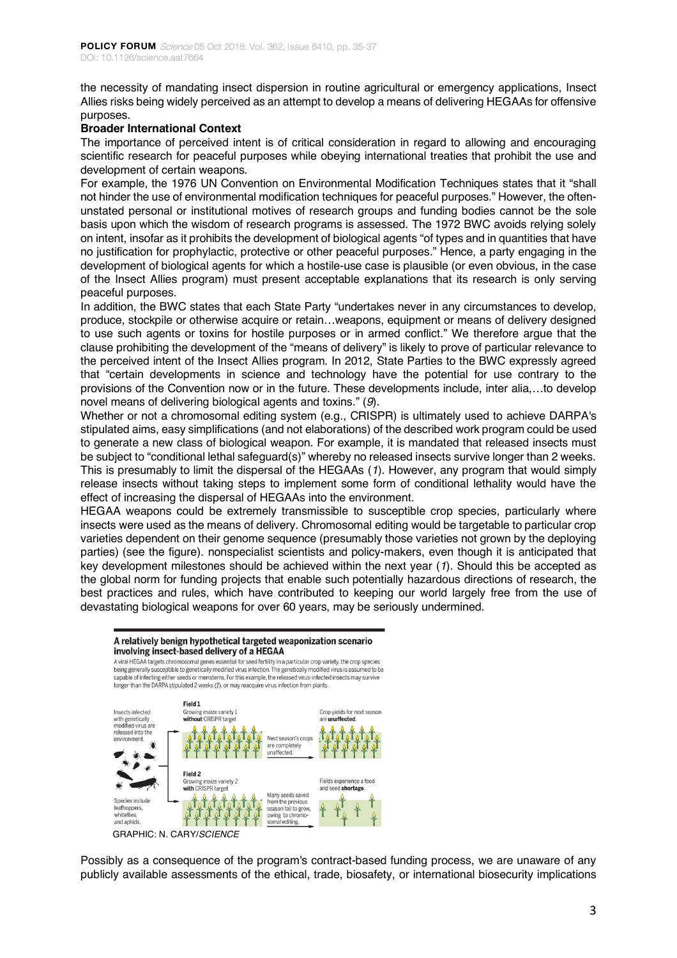the necessity of mandating insect dispersion in routine agricultural or emergency applications, Insect Allies risks being widely perceived as an attempt to develop a means of delivering HEGAAs for offensive purposes.

# **Broader International Context**

The importance of perceived intent is of critical consideration in regard to allowing and encouraging scientific research for peaceful purposes while obeying international treaties that prohibit the use and development of certain weapons.

For example, the 1976 UN Convention on Environmental Modification Techniques states that it "shall not hinder the use of environmental modification techniques for peaceful purposes." However, the oftenunstated personal or institutional motives of research groups and funding bodies cannot be the sole basis upon which the wisdom of research programs is assessed. The 1972 BWC avoids relying solely on intent, insofar as it prohibits the development of biological agents "of types and in quantities that have no justification for prophylactic, protective or other peaceful purposes." Hence, a party engaging in the development of biological agents for which a hostile-use case is plausible (or even obvious, in the case of the Insect Allies program) must present acceptable explanations that its research is only serving peaceful purposes.

In addition, the BWC states that each State Party "undertakes never in any circumstances to develop, produce, stockpile or otherwise acquire or retain…weapons, equipment or means of delivery designed to use such agents or toxins for hostile purposes or in armed conflict." We therefore argue that the clause prohibiting the development of the "means of delivery" is likely to prove of particular relevance to the perceived intent of the Insect Allies program. In 2012, State Parties to the BWC expressly agreed that "certain developments in science and technology have the potential for use contrary to the provisions of the Convention now or in the future. These developments include, inter alia,…to develop novel means of delivering biological agents and toxins." (*9*).

Whether or not a chromosomal editing system (e.g., CRISPR) is ultimately used to achieve DARPA's stipulated aims, easy simplifications (and not elaborations) of the described work program could be used to generate a new class of biological weapon. For example, it is mandated that released insects must be subject to "conditional lethal safeguard(s)" whereby no released insects survive longer than 2 weeks. This is presumably to limit the dispersal of the HEGAAs (*1*). However, any program that would simply release insects without taking steps to implement some form of conditional lethality would have the effect of increasing the dispersal of HEGAAs into the environment.

HEGAA weapons could be extremely transmissible to susceptible crop species, particularly where insects were used as the means of delivery. Chromosomal editing would be targetable to particular crop varieties dependent on their genome sequence (presumably those varieties not grown by the deploying parties) (see the figure). nonspecialist scientists and policy-makers, even though it is anticipated that key development milestones should be achieved within the next year (*1*). Should this be accepted as the global norm for funding projects that enable such potentially hazardous directions of research, the best practices and rules, which have contributed to keeping our world largely free from the use of devastating biological weapons for over 60 years, may be seriously undermined.





Possibly as a consequence of the program's contract-based funding process, we are unaware of any publicly available assessments of the ethical, trade, biosafety, or international biosecurity implications